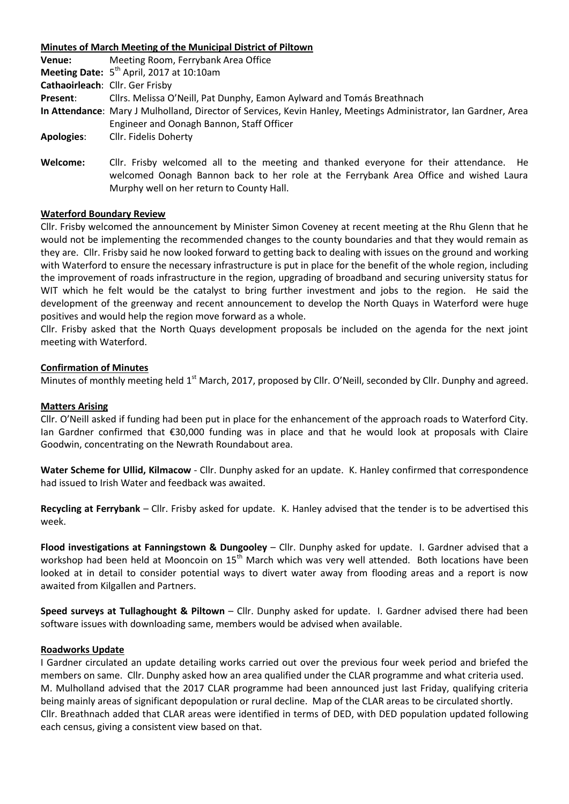| Minutes of March Meeting of the Municipal District of Piltown |                                                                                                                                                                                 |
|---------------------------------------------------------------|---------------------------------------------------------------------------------------------------------------------------------------------------------------------------------|
| Venue:                                                        | Meeting Room, Ferrybank Area Office                                                                                                                                             |
|                                                               | Meeting Date: $5th$ April, 2017 at 10:10am                                                                                                                                      |
|                                                               | Cathaoirleach: Cllr. Ger Frisby                                                                                                                                                 |
| Present:                                                      | Cllrs. Melissa O'Neill, Pat Dunphy, Eamon Aylward and Tomás Breathnach                                                                                                          |
|                                                               | In Attendance: Mary J Mulholland, Director of Services, Kevin Hanley, Meetings Administrator, Ian Gardner, Area                                                                 |
|                                                               | Engineer and Oonagh Bannon, Staff Officer                                                                                                                                       |
| <b>Apologies:</b>                                             | Cllr. Fidelis Doherty                                                                                                                                                           |
| Welcome:                                                      | Cllr. Frisby welcomed all to the meeting and thanked everyone for their attendance. He<br>welcomed Oonagh Bannon back to her role at the Ferrybank Area Office and wished Laura |

Murphy well on her return to County Hall.

### **Waterford Boundary Review**

Cllr. Frisby welcomed the announcement by Minister Simon Coveney at recent meeting at the Rhu Glenn that he would not be implementing the recommended changes to the county boundaries and that they would remain as they are. Cllr. Frisby said he now looked forward to getting back to dealing with issues on the ground and working with Waterford to ensure the necessary infrastructure is put in place for the benefit of the whole region, including the improvement of roads infrastructure in the region, upgrading of broadband and securing university status for WIT which he felt would be the catalyst to bring further investment and jobs to the region. He said the development of the greenway and recent announcement to develop the North Quays in Waterford were huge positives and would help the region move forward as a whole.

Cllr. Frisby asked that the North Quays development proposals be included on the agenda for the next joint meeting with Waterford.

#### **Confirmation of Minutes**

Minutes of monthly meeting held 1<sup>st</sup> March, 2017, proposed by Cllr. O'Neill, seconded by Cllr. Dunphy and agreed.

#### **Matters Arising**

Cllr. O'Neill asked if funding had been put in place for the enhancement of the approach roads to Waterford City. Ian Gardner confirmed that €30,000 funding was in place and that he would look at proposals with Claire Goodwin, concentrating on the Newrath Roundabout area.

**Water Scheme for Ullid, Kilmacow** - Cllr. Dunphy asked for an update. K. Hanley confirmed that correspondence had issued to Irish Water and feedback was awaited.

**Recycling at Ferrybank** – Cllr. Frisby asked for update. K. Hanley advised that the tender is to be advertised this week.

**Flood investigations at Fanningstown & Dungooley** – Cllr. Dunphy asked for update. I. Gardner advised that a workshop had been held at Mooncoin on 15<sup>th</sup> March which was very well attended. Both locations have been looked at in detail to consider potential ways to divert water away from flooding areas and a report is now awaited from Kilgallen and Partners.

**Speed surveys at Tullaghought & Piltown** – Cllr. Dunphy asked for update. I. Gardner advised there had been software issues with downloading same, members would be advised when available.

#### **Roadworks Update**

I Gardner circulated an update detailing works carried out over the previous four week period and briefed the members on same. Cllr. Dunphy asked how an area qualified under the CLAR programme and what criteria used. M. Mulholland advised that the 2017 CLAR programme had been announced just last Friday, qualifying criteria being mainly areas of significant depopulation or rural decline. Map of the CLAR areas to be circulated shortly. Cllr. Breathnach added that CLAR areas were identified in terms of DED, with DED population updated following each census, giving a consistent view based on that.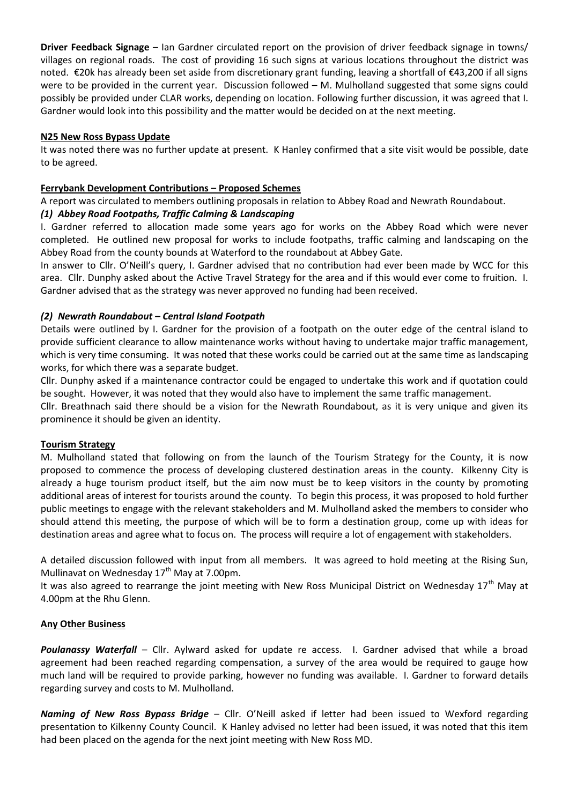**Driver Feedback Signage** – Ian Gardner circulated report on the provision of driver feedback signage in towns/ villages on regional roads. The cost of providing 16 such signs at various locations throughout the district was noted. €20k has already been set aside from discretionary grant funding, leaving a shortfall of €43,200 if all signs were to be provided in the current year. Discussion followed – M. Mulholland suggested that some signs could possibly be provided under CLAR works, depending on location. Following further discussion, it was agreed that I. Gardner would look into this possibility and the matter would be decided on at the next meeting.

# **N25 New Ross Bypass Update**

It was noted there was no further update at present. K Hanley confirmed that a site visit would be possible, date to be agreed.

## **Ferrybank Development Contributions – Proposed Schemes**

A report was circulated to members outlining proposals in relation to Abbey Road and Newrath Roundabout.

## *(1) Abbey Road Footpaths, Traffic Calming & Landscaping*

I. Gardner referred to allocation made some years ago for works on the Abbey Road which were never completed. He outlined new proposal for works to include footpaths, traffic calming and landscaping on the Abbey Road from the county bounds at Waterford to the roundabout at Abbey Gate.

In answer to Cllr. O'Neill's query, I. Gardner advised that no contribution had ever been made by WCC for this area. Cllr. Dunphy asked about the Active Travel Strategy for the area and if this would ever come to fruition. I. Gardner advised that as the strategy was never approved no funding had been received.

## *(2) Newrath Roundabout – Central Island Footpath*

Details were outlined by I. Gardner for the provision of a footpath on the outer edge of the central island to provide sufficient clearance to allow maintenance works without having to undertake major traffic management, which is very time consuming. It was noted that these works could be carried out at the same time as landscaping works, for which there was a separate budget.

Cllr. Dunphy asked if a maintenance contractor could be engaged to undertake this work and if quotation could be sought. However, it was noted that they would also have to implement the same traffic management.

Cllr. Breathnach said there should be a vision for the Newrath Roundabout, as it is very unique and given its prominence it should be given an identity.

### **Tourism Strategy**

M. Mulholland stated that following on from the launch of the Tourism Strategy for the County, it is now proposed to commence the process of developing clustered destination areas in the county. Kilkenny City is already a huge tourism product itself, but the aim now must be to keep visitors in the county by promoting additional areas of interest for tourists around the county. To begin this process, it was proposed to hold further public meetings to engage with the relevant stakeholders and M. Mulholland asked the members to consider who should attend this meeting, the purpose of which will be to form a destination group, come up with ideas for destination areas and agree what to focus on. The process will require a lot of engagement with stakeholders.

A detailed discussion followed with input from all members. It was agreed to hold meeting at the Rising Sun, Mullinavat on Wednesday  $17<sup>th</sup>$  May at 7.00pm.

It was also agreed to rearrange the joint meeting with New Ross Municipal District on Wednesday  $17<sup>th</sup>$  May at 4.00pm at the Rhu Glenn.

### **Any Other Business**

*Poulanassy Waterfall* – Cllr. Aylward asked for update re access. I. Gardner advised that while a broad agreement had been reached regarding compensation, a survey of the area would be required to gauge how much land will be required to provide parking, however no funding was available. I. Gardner to forward details regarding survey and costs to M. Mulholland.

*Naming of New Ross Bypass Bridge* – Cllr. O'Neill asked if letter had been issued to Wexford regarding presentation to Kilkenny County Council. K Hanley advised no letter had been issued, it was noted that this item had been placed on the agenda for the next joint meeting with New Ross MD.